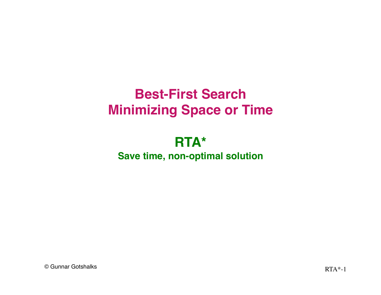# **Best-First Search Minimizing Space or Time**

#### **RTA\* Save time, non-optimal solution**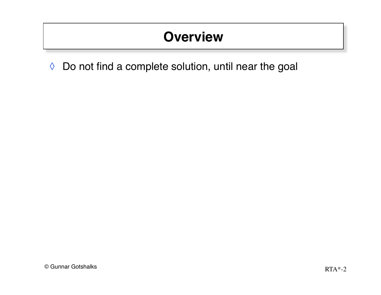# **Overview**

◊ Do not find a complete solution, until near the goal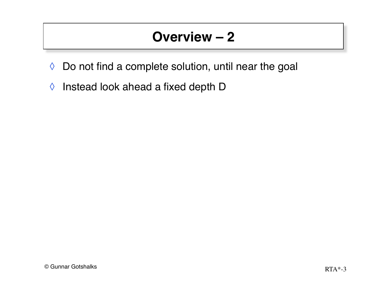- ◊ Do not find a complete solution, until near the goal
- ◊ Instead look ahead a fixed depth D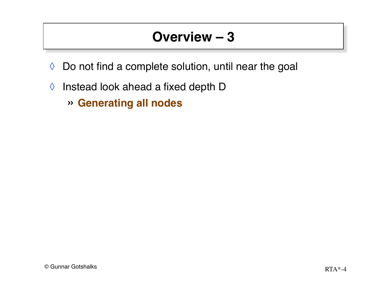- ◊ Do not find a complete solution, until near the goal
- ◊ Instead look ahead a fixed depth D
	- » **Generating all nodes**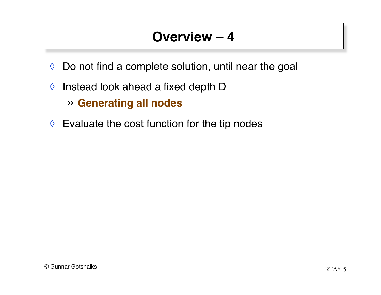- ◊ Do not find a complete solution, until near the goal
- $\Diamond$  Instead look ahead a fixed depth D

» **Generating all nodes**

 $\Diamond$  Evaluate the cost function for the tip nodes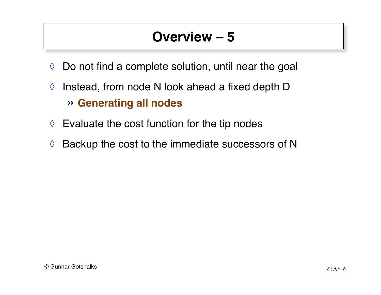- $\Diamond$  Do not find a complete solution, until near the goal
- $\Diamond$  Instead, from node N look ahead a fixed depth D » **Generating all nodes**
- $\Diamond$  Evaluate the cost function for the tip nodes
- $\Diamond$  Backup the cost to the immediate successors of N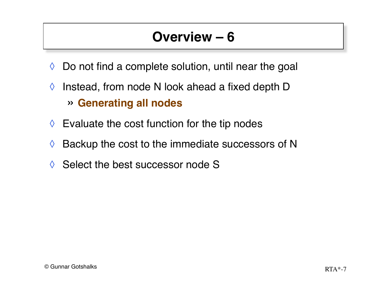- $\Diamond$  Do not find a complete solution, until near the goal
- $\Diamond$  Instead, from node N look ahead a fixed depth D » **Generating all nodes**
- $\Diamond$  Evaluate the cost function for the tip nodes
- $\Diamond$  Backup the cost to the immediate successors of N
- ◊ Select the best successor node S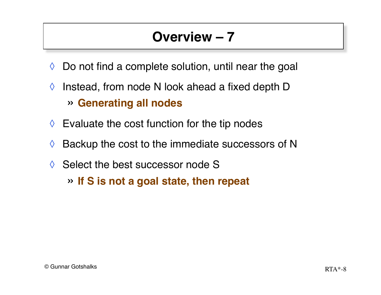- $\Diamond$  Do not find a complete solution, until near the goal
- $\Diamond$  Instead, from node N look ahead a fixed depth D » **Generating all nodes**
- $\Diamond$  Evaluate the cost function for the tip nodes
- $\Diamond$  Backup the cost to the immediate successors of N
- ◊ Select the best successor node S
	- » **If S is not a goal state, then repeat**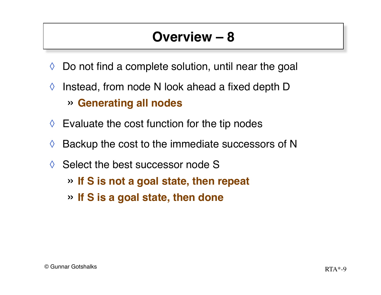- $\Diamond$  Do not find a complete solution, until near the goal
- $\Diamond$  Instead, from node N look ahead a fixed depth D » **Generating all nodes**
- $\Diamond$  Evaluate the cost function for the tip nodes
- $\Diamond$  Backup the cost to the immediate successors of N
- ◊ Select the best successor node S
	- » **If S is not a goal state, then repeat**
	- » **If S is a goal state, then done**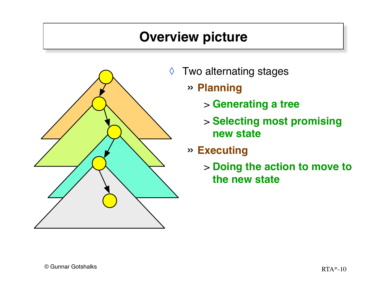#### **Overview picture**



- ◊ Two alternating stages
	- » **Planning**
		- > **Generating a tree**
		- > **Selecting most promising new state**

#### » **Executing**

> **Doing the action to move to the new state**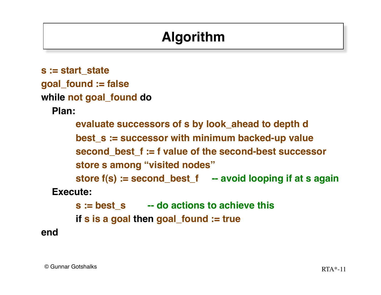# **Algorithm**

```
s := start_state
goal_found := false
while not goal_found do
   Plan:
       evaluate successors of s by look_ahead to depth d
       best_s := successor with minimum backed-up value
       second_best_f := f value of the second-best successor
       store s among "visited nodes"
       store f(s) := second_best_f -- avoid looping if at s again
   Execute:
       s := best_s -- do actions to achieve this
       if s is a goal then goal_found := true
end
```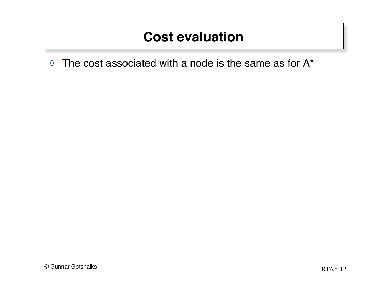### **Cost evaluation**

 $\Diamond$  The cost associated with a node is the same as for A\*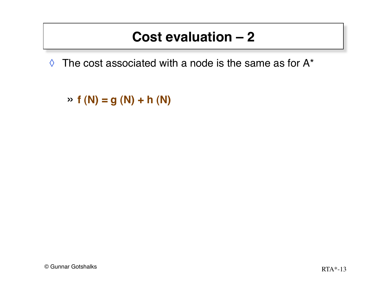### **Cost evaluation – 2**

 $\Diamond$  The cost associated with a node is the same as for A\*

» **f (N) = g (N) + h (N)**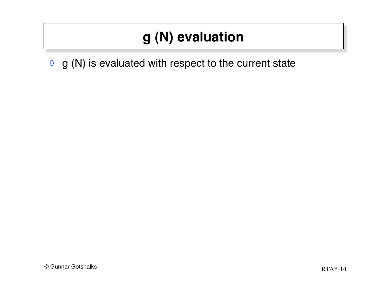# **g (N) evaluation**

 $\Diamond$  g (N) is evaluated with respect to the current state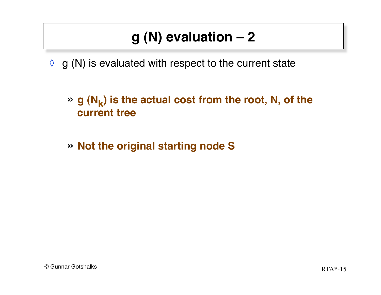- $\Diamond$  g (N) is evaluated with respect to the current state
	- $\rightarrow$  g (N<sub>k</sub>) is the actual cost from the root, N, of the **current tree**
	- » **Not the original starting node S**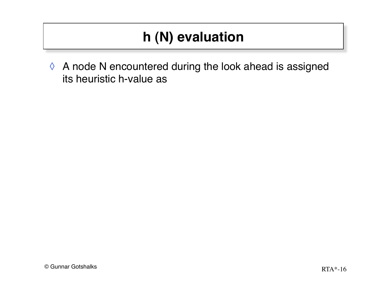◊ A node N encountered during the look ahead is assigned its heuristic h-value as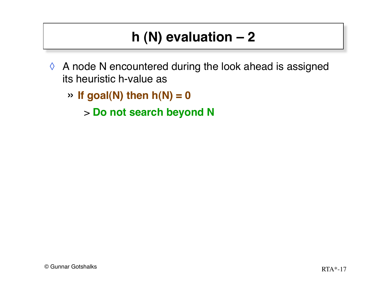- ◊ A node N encountered during the look ahead is assigned its heuristic h-value as
	- $\rightarrow$  **If goal(N) then h(N) = 0**

> **Do not search beyond N**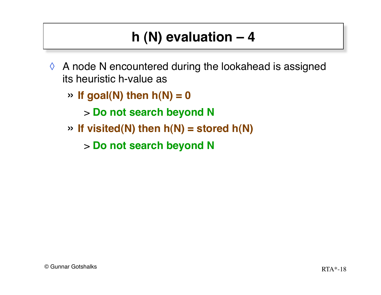- $\Diamond$  A node N encountered during the lookahead is assigned its heuristic h-value as
	- $\rightarrow$  **If goal(N) then h(N) = 0**

> **Do not search beyond N**

» **If visited(N) then h(N) = stored h(N)**

> **Do not search beyond N**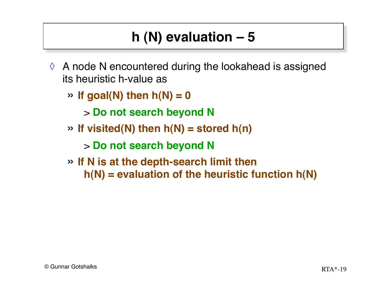- $\Diamond$  A node N encountered during the lookahead is assigned its heuristic h-value as
	- $\rightarrow$  **If goal(N) then h(N) = 0**

> **Do not search beyond N**

» **If visited(N) then h(N) = stored h(n)**

> **Do not search beyond N**

» **If N is at the depth-search limit then h(N) = evaluation of the heuristic function h(N)**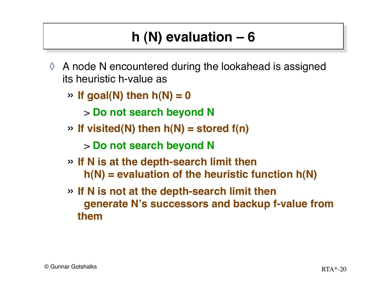- $\Diamond$  A node N encountered during the lookahead is assigned its heuristic h-value as
	- $\rightarrow$  **If goal(N) then h(N) = 0**

> **Do not search beyond N**

» **If visited(N) then h(N) = stored f(n)**

> **Do not search beyond N**

- » **If N is at the depth-search limit then h(N) = evaluation of the heuristic function h(N)**
- » **If N is not at the depth-search limit then generate N's successors and backup f-value from them**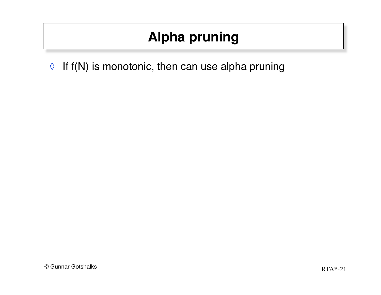$\Diamond$  If f(N) is monotonic, then can use alpha pruning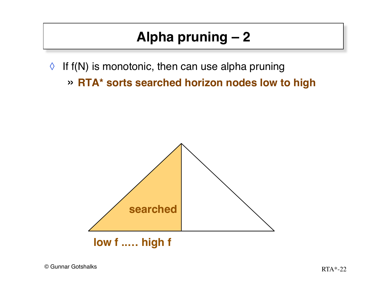- $\Diamond$  If f(N) is monotonic, then can use alpha pruning
	- » **RTA\* sorts searched horizon nodes low to high**

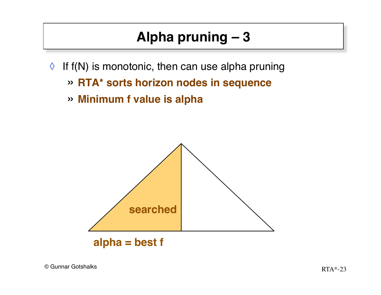- $\Diamond$  If f(N) is monotonic, then can use alpha pruning
	- » **RTA\* sorts horizon nodes in sequence**
	- » **Minimum f value is alpha**

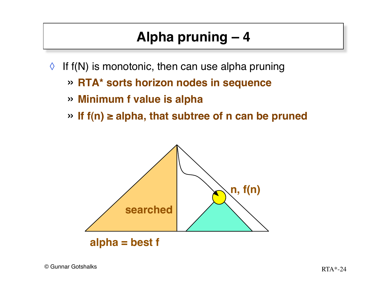- $\Diamond$  If f(N) is monotonic, then can use alpha pruning
	- » **RTA\* sorts horizon nodes in sequence**
	- » **Minimum f value is alpha**
	- » **If f(n) ≥ alpha, that subtree of n can be pruned**